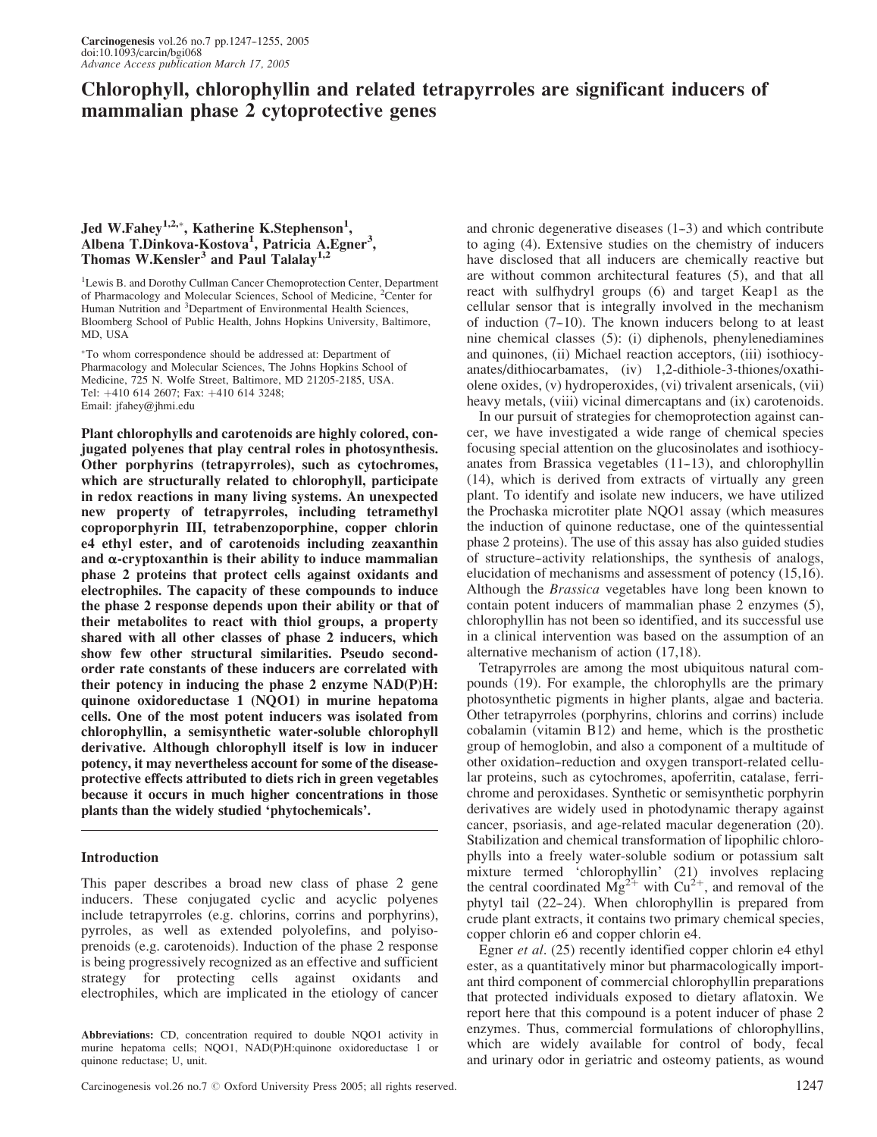# Chlorophyll, chlorophyllin and related tetrapyrroles are significant inducers of mammalian phase 2 cytoprotective genes

# Jed W.Fahey<sup>1,2,\*</sup>, Katherine K.Stephenson<sup>1</sup>, Albena T.Dinkova-Kostova<sup>1</sup>, Patricia A.Egner<sup>3</sup>, Thomas W.Kensler<sup>3</sup> and Paul Talalay<sup>1,</sup>

<sup>1</sup>Lewis B. and Dorothy Cullman Cancer Chemoprotection Center, Department of Pharmacology and Molecular Sciences, School of Medicine, <sup>2</sup>Center for Human Nutrition and <sup>3</sup>Department of Environmental Health Sciences, Bloomberg School of Public Health, Johns Hopkins University, Baltimore, MD, USA

To whom correspondence should be addressed at: Department of Pharmacology and Molecular Sciences, The Johns Hopkins School of Medicine, 725 N. Wolfe Street, Baltimore, MD 21205-2185, USA. Tel: +410 614 2607; Fax: +410 614 3248; Email: jfahey@jhmi.edu

Plant chlorophylls and carotenoids are highly colored, conjugated polyenes that play central roles in photosynthesis. Other porphyrins (tetrapyrroles), such as cytochromes, which are structurally related to chlorophyll, participate in redox reactions in many living systems. An unexpected new property of tetrapyrroles, including tetramethyl coproporphyrin III, tetrabenzoporphine, copper chlorin e4 ethyl ester, and of carotenoids including zeaxanthin and  $\alpha$ -cryptoxanthin is their ability to induce mammalian phase 2 proteins that protect cells against oxidants and electrophiles. The capacity of these compounds to induce the phase 2 response depends upon their ability or that of their metabolites to react with thiol groups, a property shared with all other classes of phase 2 inducers, which show few other structural similarities. Pseudo secondorder rate constants of these inducers are correlated with their potency in inducing the phase 2 enzyme NAD(P)H: quinone oxidoreductase 1 (NQO1) in murine hepatoma cells. One of the most potent inducers was isolated from chlorophyllin, a semisynthetic water-soluble chlorophyll derivative. Although chlorophyll itself is low in inducer potency, it may nevertheless account for some of the diseaseprotective effects attributed to diets rich in green vegetables because it occurs in much higher concentrations in those plants than the widely studied 'phytochemicals'.

## Introduction

This paper describes a broad new class of phase 2 gene inducers. These conjugated cyclic and acyclic polyenes include tetrapyrroles (e.g. chlorins, corrins and porphyrins), pyrroles, as well as extended polyolefins, and polyisoprenoids (e.g. carotenoids). Induction of the phase 2 response is being progressively recognized as an effective and sufficient strategy for protecting cells against oxidants and electrophiles, which are implicated in the etiology of cancer

Abbreviations: CD, concentration required to double NQO1 activity in murine hepatoma cells; NQO1, NAD(P)H:quinone oxidoreductase 1 or quinone reductase; U, unit.

Carcinogenesis vol.26 no.7  $\odot$  Oxford University Press 2005; all rights reserved. 1247

and chronic degenerative diseases  $(1-3)$  and which contribute to aging (4). Extensive studies on the chemistry of inducers have disclosed that all inducers are chemically reactive but are without common architectural features (5), and that all react with sulfhydryl groups (6) and target Keap1 as the cellular sensor that is integrally involved in the mechanism of induction  $(7-10)$ . The known inducers belong to at least nine chemical classes (5): (i) diphenols, phenylenediamines and quinones, (ii) Michael reaction acceptors, (iii) isothiocyanates/dithiocarbamates, (iv) 1,2-dithiole-3-thiones/oxathiolene oxides, (v) hydroperoxides, (vi) trivalent arsenicals, (vii) heavy metals, (viii) vicinal dimercaptans and (ix) carotenoids.

In our pursuit of strategies for chemoprotection against cancer, we have investigated a wide range of chemical species focusing special attention on the glucosinolates and isothiocyanates from Brassica vegetables  $(11-13)$ , and chlorophyllin (14), which is derived from extracts of virtually any green plant. To identify and isolate new inducers, we have utilized the Prochaska microtiter plate NQO1 assay (which measures the induction of quinone reductase, one of the quintessential phase 2 proteins). The use of this assay has also guided studies of structure--activity relationships, the synthesis of analogs, elucidation of mechanisms and assessment of potency (15,16). Although the Brassica vegetables have long been known to contain potent inducers of mammalian phase 2 enzymes (5), chlorophyllin has not been so identified, and its successful use in a clinical intervention was based on the assumption of an alternative mechanism of action (17,18).

Tetrapyrroles are among the most ubiquitous natural compounds (19). For example, the chlorophylls are the primary photosynthetic pigments in higher plants, algae and bacteria. Other tetrapyrroles (porphyrins, chlorins and corrins) include cobalamin (vitamin B12) and heme, which is the prosthetic group of hemoglobin, and also a component of a multitude of other oxidation--reduction and oxygen transport-related cellular proteins, such as cytochromes, apoferritin, catalase, ferrichrome and peroxidases. Synthetic or semisynthetic porphyrin derivatives are widely used in photodynamic therapy against cancer, psoriasis, and age-related macular degeneration (20). Stabilization and chemical transformation of lipophilic chlorophylls into a freely water-soluble sodium or potassium salt mixture termed 'chlorophyllin' (21) involves replacing the central coordinated  $Mg^{2+}$  with  $Cu^{2+}$ , and removal of the phytyl tail (22-24). When chlorophyllin is prepared from crude plant extracts, it contains two primary chemical species, copper chlorin e6 and copper chlorin e4.

Egner *et al.* (25) recently identified copper chlorin e4 ethyl ester, as a quantitatively minor but pharmacologically important third component of commercial chlorophyllin preparations that protected individuals exposed to dietary aflatoxin. We report here that this compound is a potent inducer of phase 2 enzymes. Thus, commercial formulations of chlorophyllins, which are widely available for control of body, fecal and urinary odor in geriatric and osteomy patients, as wound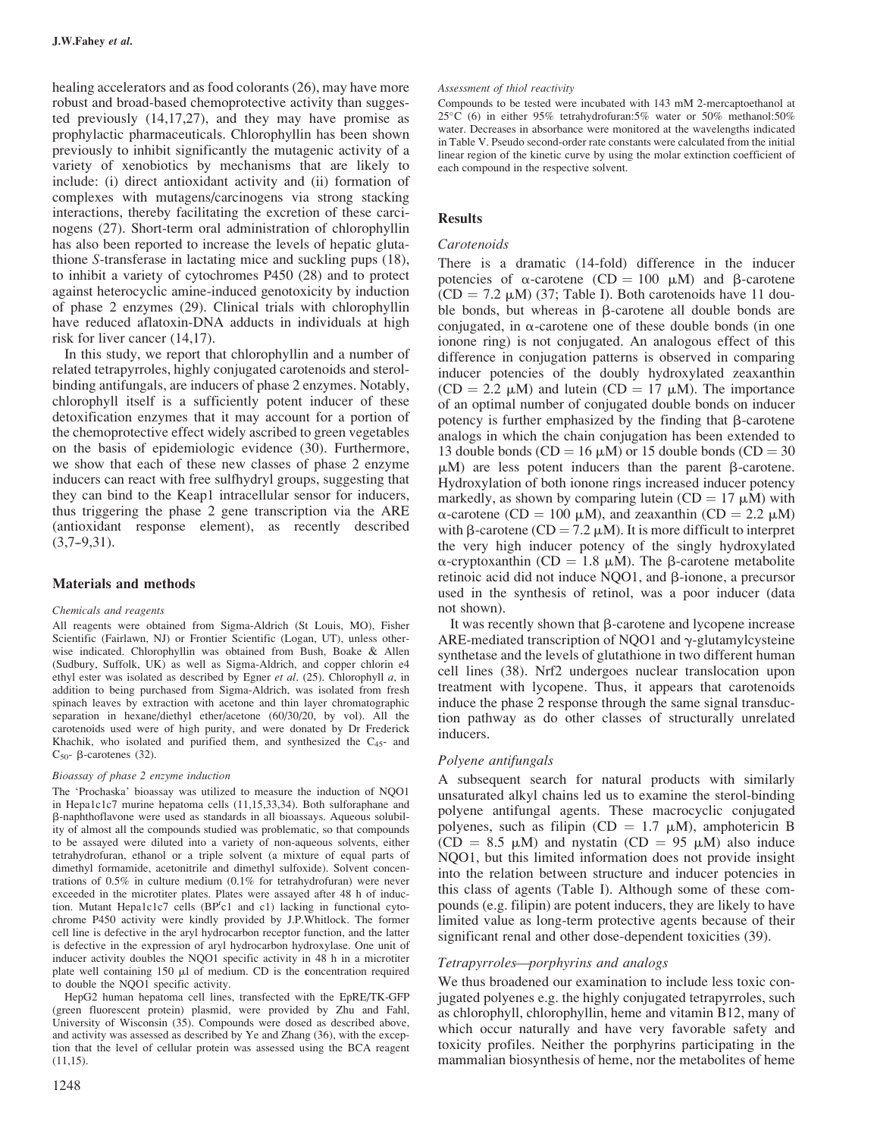healing accelerators and as food colorants (26), may have more robust and broad-based chemoprotective activity than suggested previously (14,17,27), and they may have promise as prophylactic pharmaceuticals. Chlorophyllin has been shown previously to inhibit significantly the mutagenic activity of a variety of xenobiotics by mechanisms that are likely to include: (i) direct antioxidant activity and (ii) formation of complexes with mutagens/carcinogens via strong stacking interactions, thereby facilitating the excretion of these carcinogens (27). Short-term oral administration of chlorophyllin has also been reported to increase the levels of hepatic glutathione S-transferase in lactating mice and suckling pups (18), to inhibit a variety of cytochromes P450 (28) and to protect against heterocyclic amine-induced genotoxicity by induction of phase 2 enzymes (29). Clinical trials with chlorophyllin have reduced aflatoxin-DNA adducts in individuals at high risk for liver cancer (14,17).

In this study, we report that chlorophyllin and a number of related tetrapyrroles, highly conjugated carotenoids and sterolbinding antifungals, are inducers of phase 2 enzymes. Notably, chlorophyll itself is a sufficiently potent inducer of these detoxification enzymes that it may account for a portion of the chemoprotective effect widely ascribed to green vegetables on the basis of epidemiologic evidence (30). Furthermore, we show that each of these new classes of phase 2 enzyme inducers can react with free sulfhydryl groups, suggesting that they can bind to the Keap1 intracellular sensor for inducers, thus triggering the phase 2 gene transcription via the ARE (antioxidant response element), as recently described  $(3.7-9.31)$ .

#### Materials and methods

#### Chemicals and reagents

All reagents were obtained from Sigma-Aldrich (St Louis, MO), Fisher Scientific (Fairlawn, NJ) or Frontier Scientific (Logan, UT), unless otherwise indicated. Chlorophyllin was obtained from Bush, Boake *&* Allen (Sudbury, Suffolk, UK) as well as Sigma-Aldrich, and copper chlorin e4 ethyl ester was isolated as described by Egner et al.  $(25)$ . Chlorophyll a, in addition to being purchased from Sigma-Aldrich, was isolated from fresh spinach leaves by extraction with acetone and thin layer chromatographic separation in hexane/diethyl ether/acetone (60/30/20, by vol). All the carotenoids used were of high purity, and were donated by Dr Frederick Khachik, who isolated and purified them, and synthesized the  $C_{45}$ - and  $C_{50}$ -  $\beta$ -carotenes (32).

#### Bioassay of phase 2 enzyme induction

The 'Prochaska' bioassay was utilized to measure the induction of NQO1 in Hepa1c1c7 murine hepatoma cells (11,15,33,34). Both sulforaphane and b-naphthoflavone were used as standards in all bioassays. Aqueous solubility of almost all the compounds studied was problematic, so that compounds to be assayed were diluted into a variety of non-aqueous solvents, either tetrahydrofuran, ethanol or a triple solvent (a mixture of equal parts of dimethyl formamide, acetonitrile and dimethyl sulfoxide). Solvent concentrations of 0.5% in culture medium (0.1% for tetrahydrofuran) were never exceeded in the microtiter plates. Plates were assayed after 48 h of induction. Mutant Hepa1c1c7 cells (BP<sup>r</sup>c1 and c1) lacking in functional cytochrome P450 activity were kindly provided by J.P.Whitlock. The former cell line is defective in the aryl hydrocarbon receptor function, and the latter is defective in the expression of aryl hydrocarbon hydroxylase. One unit of inducer activity doubles the NQO1 specific activity in 48 h in a microtiter plate well containing  $150 \mu l$  of medium. CD is the concentration required to double the NQO1 specific activity.

HepG2 human hepatoma cell lines, transfected with the EpRE/TK-GFP (green fluorescent protein) plasmid, were provided by Zhu and Fahl, University of Wisconsin (35). Compounds were dosed as described above, and activity was assessed as described by Ye and Zhang (36), with the exception that the level of cellular protein was assessed using the BCA reagent  $(11.15)$ .

#### Assessment of thiol reactivity

Compounds to be tested were incubated with 143 mM 2-mercaptoethanol at 25°C (6) in either 95% tetrahydrofuran:5% water or 50% methanol:50% water. Decreases in absorbance were monitored at the wavelengths indicated in Table V. Pseudo second-order rate constants were calculated from the initial linear region of the kinetic curve by using the molar extinction coefficient of each compound in the respective solvent.

## Results

## Carotenoids

There is a dramatic (14-fold) difference in the inducer potencies of  $\alpha$ -carotene (CD = 100  $\mu$ M) and  $\beta$ -carotene  $(CD = 7.2 \mu M)$  (37; Table I). Both carotenoids have 11 double bonds, but whereas in  $\beta$ -carotene all double bonds are conjugated, in  $\alpha$ -carotene one of these double bonds (in one ionone ring) is not conjugated. An analogous effect of this difference in conjugation patterns is observed in comparing inducer potencies of the doubly hydroxylated zeaxanthin  $(CD = 2.2 \mu M)$  and lutein  $(CD = 17 \mu M)$ . The importance of an optimal number of conjugated double bonds on inducer potency is further emphasized by the finding that  $\beta$ -carotene analogs in which the chain conjugation has been extended to 13 double bonds (CD = 16  $\mu$ M) or 15 double bonds (CD = 30  $\mu$ M) are less potent inducers than the parent  $\beta$ -carotene. Hydroxylation of both ionone rings increased inducer potency markedly, as shown by comparing lutein  $(CD = 17 \mu M)$  with  $\alpha$ -carotene (CD = 100  $\mu$ M), and zeaxanthin (CD = 2.2  $\mu$ M) with  $\beta$ -carotene (CD = 7.2  $\mu$ M). It is more difficult to interpret the very high inducer potency of the singly hydroxylated  $\alpha$ -cryptoxanthin (CD = 1.8  $\mu$ M). The  $\beta$ -carotene metabolite retinoic acid did not induce  $NQO1$ , and  $\beta$ -ionone, a precursor used in the synthesis of retinol, was a poor inducer (data not shown).

It was recently shown that  $\beta$ -carotene and lycopene increase ARE-mediated transcription of NOO1 and  $\gamma$ -glutamylcysteine synthetase and the levels of glutathione in two different human cell lines (38). Nrf2 undergoes nuclear translocation upon treatment with lycopene. Thus, it appears that carotenoids induce the phase 2 response through the same signal transduction pathway as do other classes of structurally unrelated inducers.

# Polyene antifungals

A subsequent search for natural products with similarly unsaturated alkyl chains led us to examine the sterol-binding polyene antifungal agents. These macrocyclic conjugated polyenes, such as filipin (CD =  $1.7 \mu M$ ), amphotericin B  $(CD = 8.5 \mu M)$  and nystatin  $(CD = 95 \mu M)$  also induce NQO1, but this limited information does not provide insight into the relation between structure and inducer potencies in this class of agents (Table I). Although some of these compounds (e.g. filipin) are potent inducers, they are likely to have limited value as long-term protective agents because of their significant renal and other dose-dependent toxicities (39).

# Tetrapyrroles—porphyrins and analogs

We thus broadened our examination to include less toxic conjugated polyenes e.g. the highly conjugated tetrapyrroles, such as chlorophyll, chlorophyllin, heme and vitamin B12, many of which occur naturally and have very favorable safety and toxicity profiles. Neither the porphyrins participating in the mammalian biosynthesis of heme, nor the metabolites of heme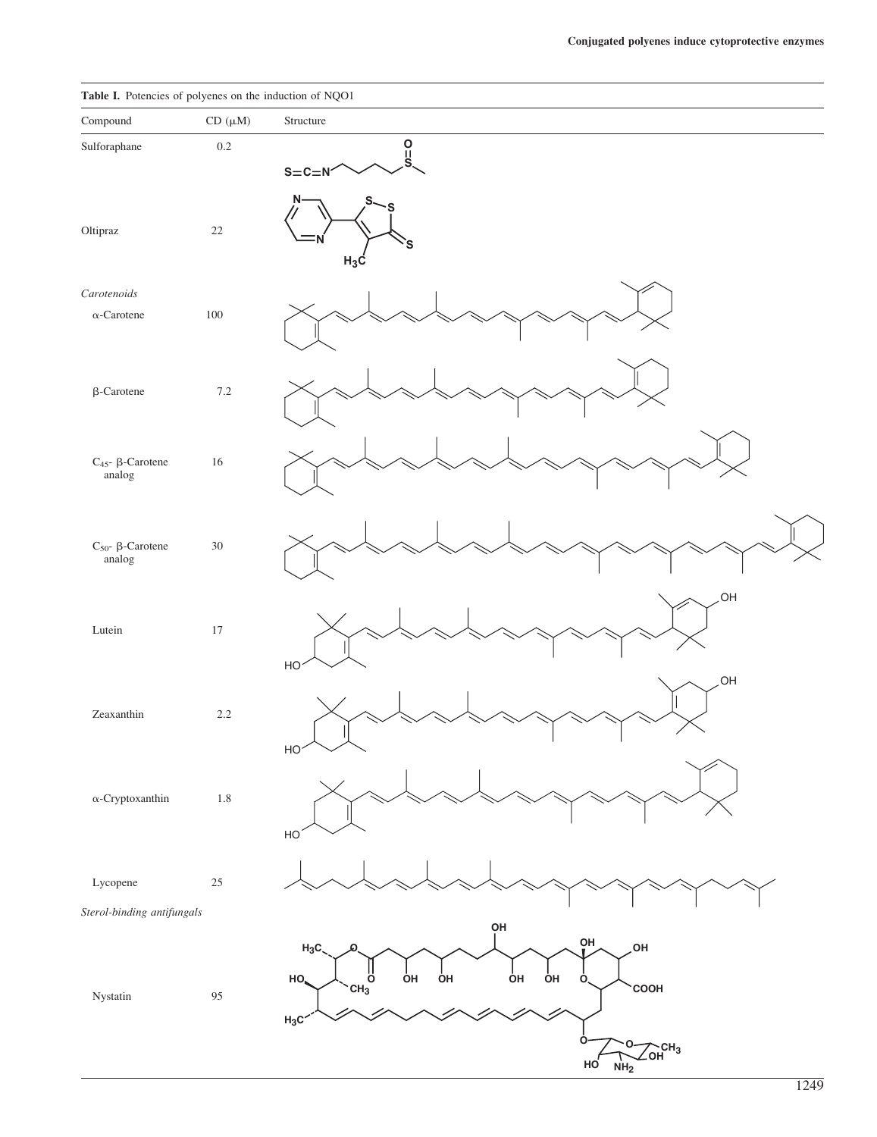# Table I. Potencies of polyenes on the induction of NQO1

| Compound                               | $CD~(\mu M)$ | Structure                                                                                                                                                                |
|----------------------------------------|--------------|--------------------------------------------------------------------------------------------------------------------------------------------------------------------------|
| Sulforaphane                           | $0.2\,$      | $rac{0}{s}$<br>$S = C = N'$                                                                                                                                              |
| Oltipraz                               | $22\,$       | N·<br>S<br>$H_3C$                                                                                                                                                        |
| Carotenoids<br>$\alpha$ -Carotene      | 100          |                                                                                                                                                                          |
| $\beta$ -Carotene                      | $7.2\,$      |                                                                                                                                                                          |
| $C_{45}$ - $\beta$ -Carotene<br>analog | $16\,$       |                                                                                                                                                                          |
| $C_{50}$ - $\beta$ -Carotene<br>analog | $30\,$       |                                                                                                                                                                          |
| Lutein                                 | 17           | OH<br>HO                                                                                                                                                                 |
| Zeaxanthin                             | $2.2\,$      | OH<br>$H$ O $\sim$<br>$\diagup$                                                                                                                                          |
| $\alpha$ -Cryptoxanthin                | $1.8\,$      | HO                                                                                                                                                                       |
| Lycopene                               | $25\,$       |                                                                                                                                                                          |
| Sterol-binding antifungals             |              | ΟH                                                                                                                                                                       |
| $\quad$ Nystatin                       | 95           | OH<br>OH<br>$H_3C$<br>$\overset{\text{II}}{\overset{\text{II}}{\text{C}}\text{H}_3}$<br>oн<br>ÒН<br>ÒН<br>HO.<br>ÒН<br>Ò,<br>COOH<br>$H_3C$<br>o<br>O<br>$\sum_{OH}CH_3$ |
|                                        |              | HO<br>NH <sub>2</sub>                                                                                                                                                    |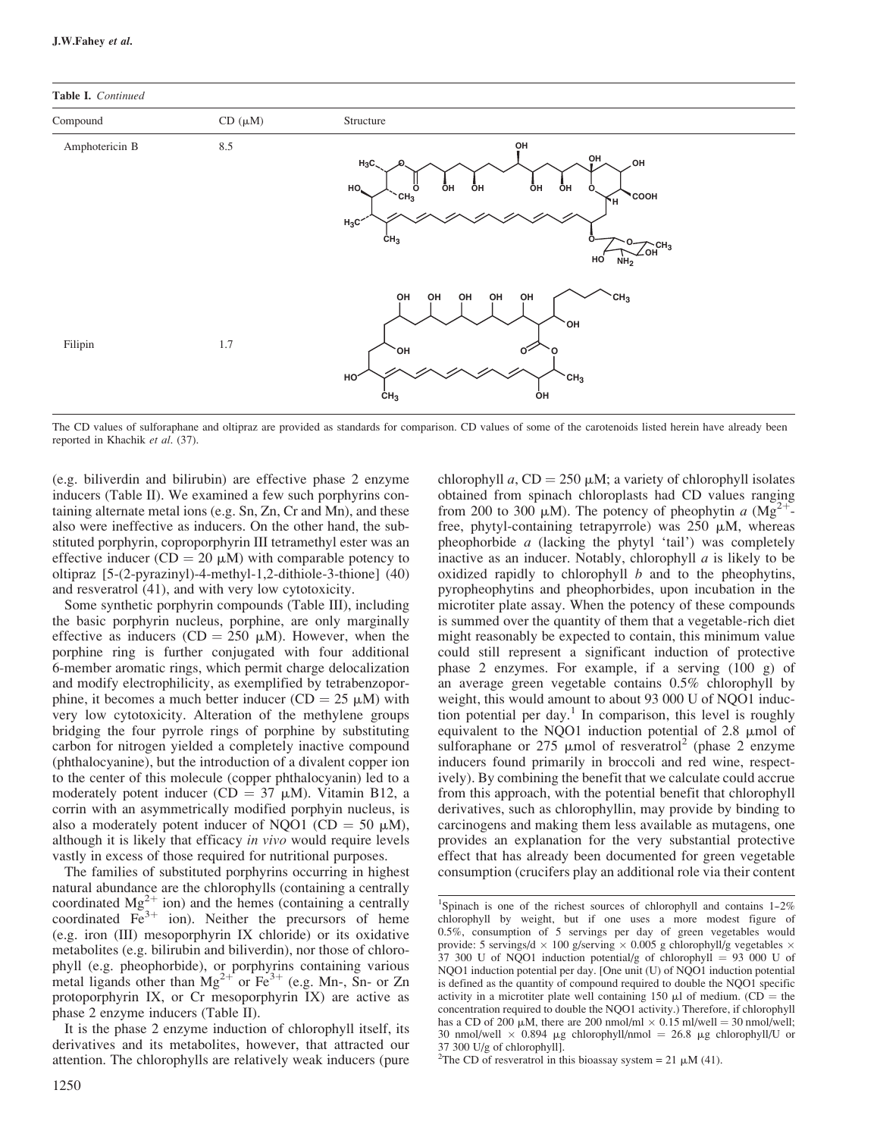



The CD values of sulforaphane and oltipraz are provided as standards for comparison. CD values of some of the carotenoids listed herein have already been reported in Khachik et al. (37).

(e.g. biliverdin and bilirubin) are effective phase 2 enzyme inducers (Table II). We examined a few such porphyrins containing alternate metal ions (e.g. Sn, Zn, Cr and Mn), and these also were ineffective as inducers. On the other hand, the substituted porphyrin, coproporphyrin III tetramethyl ester was an effective inducer (CD = 20  $\mu$ M) with comparable potency to oltipraz [5-(2-pyrazinyl)-4-methyl-1,2-dithiole-3-thione] (40) and resveratrol (41), and with very low cytotoxicity.

Some synthetic porphyrin compounds (Table III), including the basic porphyrin nucleus, porphine, are only marginally effective as inducers (CD = 250  $\mu$ M). However, when the porphine ring is further conjugated with four additional 6-member aromatic rings, which permit charge delocalization and modify electrophilicity, as exemplified by tetrabenzoporphine, it becomes a much better inducer (CD =  $25 \mu M$ ) with very low cytotoxicity. Alteration of the methylene groups bridging the four pyrrole rings of porphine by substituting carbon for nitrogen yielded a completely inactive compound (phthalocyanine), but the introduction of a divalent copper ion to the center of this molecule (copper phthalocyanin) led to a moderately potent inducer (CD =  $37 \mu M$ ). Vitamin B12, a corrin with an asymmetrically modified porphyin nucleus, is also a moderately potent inducer of NQO1 (CD = 50  $\mu$ M), although it is likely that efficacy in vivo would require levels vastly in excess of those required for nutritional purposes.

The families of substituted porphyrins occurring in highest natural abundance are the chlorophylls (containing a centrally coordinated  $Mg^{2+}$  ion) and the hemes (containing a centrally coordinated  $Fe<sup>3+</sup>$  ion). Neither the precursors of heme (e.g. iron (III) mesoporphyrin IX chloride) or its oxidative metabolites (e.g. bilirubin and biliverdin), nor those of chlorophyll (e.g. pheophorbide), or porphyrins containing various metal ligands other than  $Mg^{2+}$  or  $Fe^{3+}$  (e.g. Mn-, Sn- or Zn protoporphyrin IX, or Cr mesoporphyrin IX) are active as phase 2 enzyme inducers (Table II).

It is the phase 2 enzyme induction of chlorophyll itself, its derivatives and its metabolites, however, that attracted our attention. The chlorophylls are relatively weak inducers (pure chlorophyll a,  $CD = 250 \mu M$ ; a variety of chlorophyll isolates obtained from spinach chloroplasts had CD values ranging from 200 to 300  $\mu$ M). The potency of pheophytin a (Mg<sup>2+</sup>free, phytyl-containing tetrapyrrole) was  $250 \mu M$ , whereas pheophorbide  $a$  (lacking the phytyl 'tail') was completely inactive as an inducer. Notably, chlorophyll  $a$  is likely to be oxidized rapidly to chlorophyll  $b$  and to the pheophytins, pyropheophytins and pheophorbides, upon incubation in the microtiter plate assay. When the potency of these compounds is summed over the quantity of them that a vegetable-rich diet might reasonably be expected to contain, this minimum value could still represent a significant induction of protective phase 2 enzymes. For example, if a serving (100 g) of an average green vegetable contains 0.5% chlorophyll by weight, this would amount to about 93 000 U of NQO1 induction potential per day.<sup>1</sup> In comparison, this level is roughly equivalent to the NOO1 induction potential of  $2.8 \mu$  mol of sulforaphane or 275 µmol of resveratrol<sup>2</sup> (phase 2 enzyme inducers found primarily in broccoli and red wine, respectively). By combining the benefit that we calculate could accrue from this approach, with the potential benefit that chlorophyll derivatives, such as chlorophyllin, may provide by binding to carcinogens and making them less available as mutagens, one provides an explanation for the very substantial protective effect that has already been documented for green vegetable consumption (crucifers play an additional role via their content

<sup>&</sup>lt;sup>1</sup>Spinach is one of the richest sources of chlorophyll and contains  $1-2\%$ chlorophyll by weight, but if one uses a more modest figure of 0.5%, consumption of 5 servings per day of green vegetables would provide: 5 servings/d  $\times$  100 g/serving  $\times$  0.005 g chlorophyll/g vegetables  $\times$ 37 300 U of NQO1 induction potential/g of chlorophyl $l = 93,000$  U of NQO1 induction potential per day. [One unit (U) of NQO1 induction potential is defined as the quantity of compound required to double the NQO1 specific activity in a microtiter plate well containing 150  $\mu$ l of medium. (CD = the concentration required to double the NQO1 activity.) Therefore, if chlorophyll has a CD of 200  $\mu$ M, there are 200 nmol/ml  $\times$  0.15 ml/well = 30 nmol/well; 30 nmol/well  $\times$  0.894 µg chlorophyll/nmol = 26.8 µg chlorophyll/U or 37 300 U/g of chlorophyll].

<sup>&</sup>lt;sup>2</sup>The CD of resveratrol in this bioassay system = 21  $\mu$ M (41).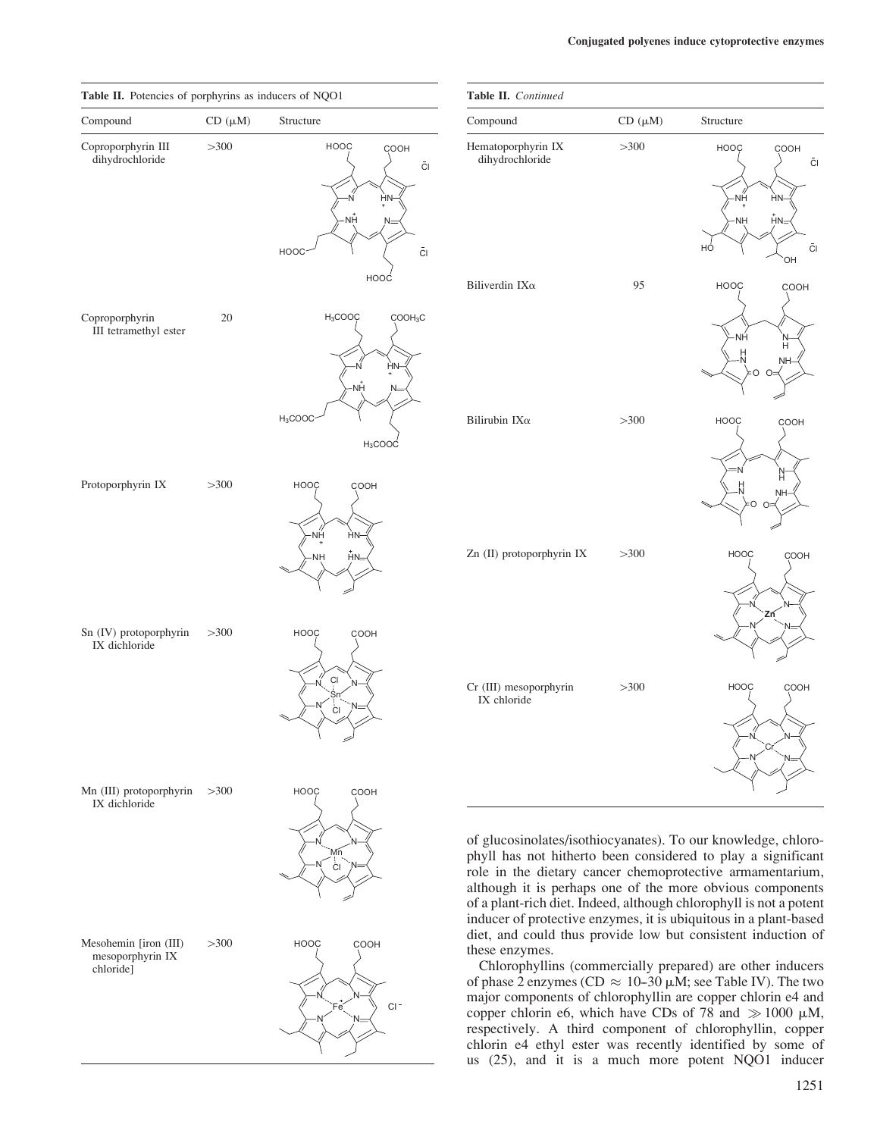| Table II. Potencies of porphyrins as inducers of NQO1  |             |                                                                          | Table II. Continued                   |             |                                                                                                                                                                                                                                                                                                                                                                                                   |  |
|--------------------------------------------------------|-------------|--------------------------------------------------------------------------|---------------------------------------|-------------|---------------------------------------------------------------------------------------------------------------------------------------------------------------------------------------------------------------------------------------------------------------------------------------------------------------------------------------------------------------------------------------------------|--|
| Compound                                               | $CD(\mu M)$ | Structure                                                                | Compound                              | $CD(\mu M)$ | Structure                                                                                                                                                                                                                                                                                                                                                                                         |  |
| Coproporphyrin III<br>dihydrochloride                  | >300        | <b>HOOC</b><br>COOH<br>$\bar{\text{C}}$<br>HN<br>NΗ<br><b>HOOC</b><br>ČI | Hematoporphyrin IX<br>dihydrochloride | >300        | HOOC<br>COOH<br>$\bar{\text{C}}$<br>·NH<br>HN-<br>$H =$<br>NH-<br>CI<br>HÓ<br>OH                                                                                                                                                                                                                                                                                                                  |  |
|                                                        |             | HOOC                                                                     | Biliverdin IX $\alpha$                | 95          | <b>HOOC</b><br>COOH                                                                                                                                                                                                                                                                                                                                                                               |  |
| Coproporphyrin<br>III tetramethyl ester                | 20          | $H_3COOC$<br>COOH <sub>3</sub> C<br>ΗN<br>٧Н                             |                                       |             | ·NH<br>Н<br>NΗ<br>∩                                                                                                                                                                                                                                                                                                                                                                               |  |
|                                                        |             | $H_3COOC$<br>$H_3$ COOC                                                  | Bilirubin IX $\alpha$                 | >300        | <b>HOOC</b><br>COOH                                                                                                                                                                                                                                                                                                                                                                               |  |
| Protoporphyrin IX                                      | >300        | <b>HOOC</b><br>COOH<br>ΝĤ<br><b>HN</b><br>NΗ<br>HN <sub>2</sub>          | Zn (II) protoporphyrin IX             | >300        | Ĥ<br><b>HOOC</b><br>COOH                                                                                                                                                                                                                                                                                                                                                                          |  |
| Sn (IV) protoporphyrin<br>IX dichloride                | >300        | <b>HOOC</b><br>COOH                                                      |                                       |             | 7ń                                                                                                                                                                                                                                                                                                                                                                                                |  |
|                                                        |             | ÇI<br>ĊI                                                                 | Cr (III) mesoporphyrin<br>IX chloride | >300        | <b>HOOC</b><br>COOH                                                                                                                                                                                                                                                                                                                                                                               |  |
| Mn (III) protoporphyrin<br>IX dichloride               | >300        | HOOC<br>COOH<br>СI                                                       |                                       |             | of glucosinolates/isothiocyanates). To our knowledge, chloro-<br>phyll has not hitherto been considered to play a significant<br>role in the dietary cancer chemoprotective armamentarium,<br>although it is perhaps one of the more obvious components<br>of a plant-rich diet. Indeed, although chlorophyll is not a potent<br>inducer of protective enzymes, it is ubiquitous in a plant-based |  |
| Mesohemin [iron (III)<br>mesoporphyrin IX<br>chloride] | >300        | <b>HOOC</b><br>COOH                                                      | these enzymes.                        |             | diet, and could thus provide low but consistent induction of<br>Chlorophyllins (commercially prepared) are other inducers                                                                                                                                                                                                                                                                         |  |

N

Fe Classical Contract of the Contract of Contract of Contract of Contract of Contract of Contract of Contract o

 $\sum_{\mathsf{E} \in \mathcal{A}}$ 

N

of phase 2 enzymes (CD  $\approx 10-30 \mu M$ ; see Table IV). The two major components of chlorophyllin are copper chlorin e4 and copper chlorin e6, which have CDs of 78 and  $\gg 1000 \mu M$ , respectively. A third component of chlorophyllin, copper chlorin e4 ethyl ester was recently identified by some of us (25), and it is a much more potent NQO1 inducer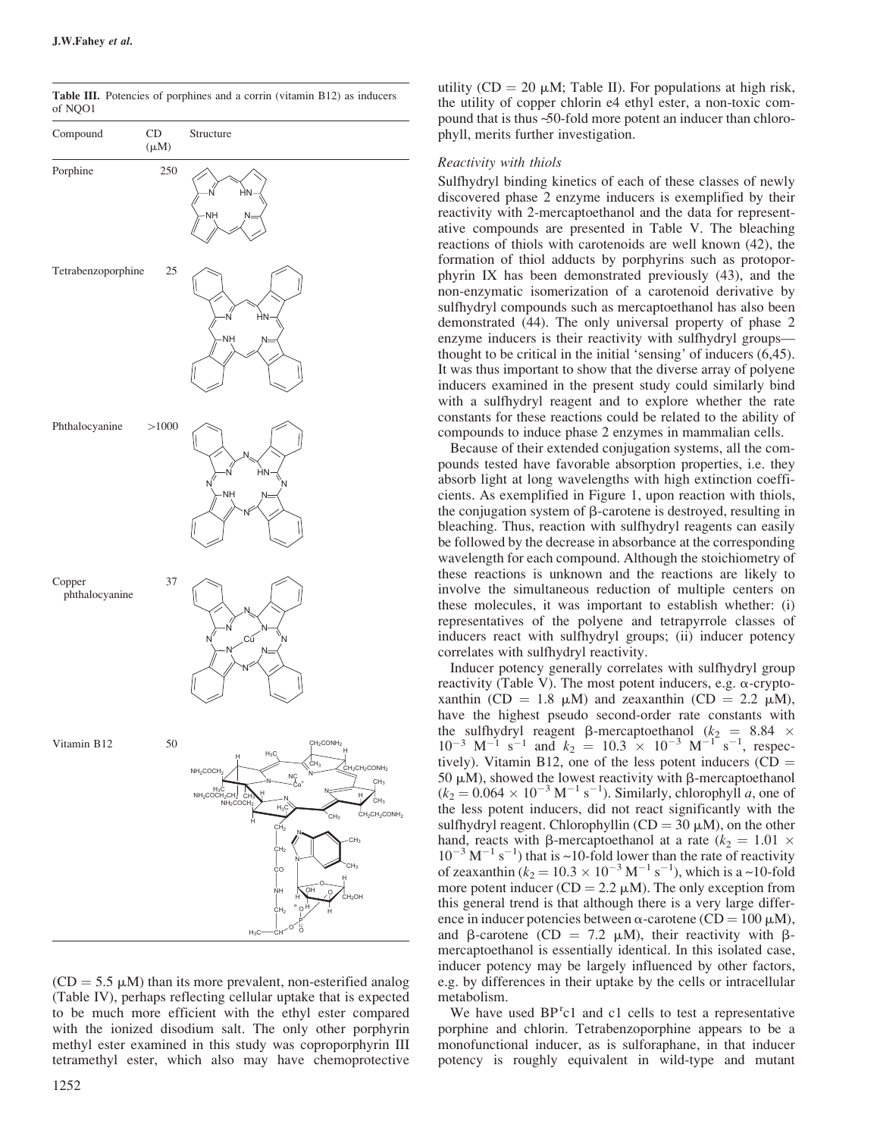



 $(CD = 5.5 \mu M)$  than its more prevalent, non-esterified analog (Table IV), perhaps reflecting cellular uptake that is expected to be much more efficient with the ethyl ester compared with the ionized disodium salt. The only other porphyrin methyl ester examined in this study was coproporphyrin III tetramethyl ester, which also may have chemoprotective

utility (CD = 20  $\mu$ M; Table II). For populations at high risk, the utility of copper chlorin e4 ethyl ester, a non-toxic compound that is thus ~50-fold more potent an inducer than chlorophyll, merits further investigation.

#### Reactivity with thiols

Sulfhydryl binding kinetics of each of these classes of newly discovered phase 2 enzyme inducers is exemplified by their reactivity with 2-mercaptoethanol and the data for representative compounds are presented in Table V. The bleaching reactions of thiols with carotenoids are well known (42), the formation of thiol adducts by porphyrins such as protoporphyrin IX has been demonstrated previously (43), and the non-enzymatic isomerization of a carotenoid derivative by sulfhydryl compounds such as mercaptoethanol has also been demonstrated (44). The only universal property of phase 2 enzyme inducers is their reactivity with sulfhydryl groups thought to be critical in the initial 'sensing' of inducers (6,45). It was thus important to show that the diverse array of polyene inducers examined in the present study could similarly bind with a sulfhydryl reagent and to explore whether the rate constants for these reactions could be related to the ability of compounds to induce phase 2 enzymes in mammalian cells.

Because of their extended conjugation systems, all the compounds tested have favorable absorption properties, i.e. they absorb light at long wavelengths with high extinction coefficients. As exemplified in Figure 1, upon reaction with thiols, the conjugation system of b-carotene is destroyed, resulting in bleaching. Thus, reaction with sulfhydryl reagents can easily be followed by the decrease in absorbance at the corresponding wavelength for each compound. Although the stoichiometry of these reactions is unknown and the reactions are likely to involve the simultaneous reduction of multiple centers on these molecules, it was important to establish whether: (i) representatives of the polyene and tetrapyrrole classes of inducers react with sulfhydryl groups; (ii) inducer potency correlates with sulfhydryl reactivity.

Inducer potency generally correlates with sulfhydryl group reactivity (Table V). The most potent inducers, e.g.  $\alpha$ -cryptoxanthin (CD = 1.8  $\mu$ M) and zeaxanthin (CD = 2.2  $\mu$ M), have the highest pseudo second-order rate constants with the sulfhydryl reagent  $\beta$ -mercaptoethanol ( $k_2 = 8.84 \times$  $10^{-3}$  M<sup>-1</sup> s<sup>-1</sup> and  $k_2 = 10.3 \times 10^{-3}$  M<sup>-1</sup> s<sup>-1</sup>, respectively). Vitamin B12, one of the less potent inducers  $(CD =$ 50  $\mu$ M), showed the lowest reactivity with  $\beta$ -mercaptoethanol  $(k_2 = 0.064 \times 10^{-3} \text{ M}^{-1} \text{ s}^{-1})$ . Similarly, chlorophyll *a*, one of the less potent inducers, did not react significantly with the sulfhydryl reagent. Chlorophyllin  $(CD = 30 \mu M)$ , on the other hand, reacts with B-mercaptoethanol at a rate ( $k_2 = 1.01 \times$  $10^{-3}$  M<sup>-1</sup> s<sup>-1</sup>) that is ~10-fold lower than the rate of reactivity of zeaxanthin  $(k_2 = 10.3 \times 10^{-3} \text{ M}^{-1} \text{ s}^{-1})$ , which is a ~10-fold more potent inducer ( $CD = 2.2 \mu M$ ). The only exception from this general trend is that although there is a very large difference in inducer potencies between  $\alpha$ -carotene (CD = 100  $\mu$ M), and  $\beta$ -carotene (CD = 7.2  $\mu$ M), their reactivity with  $\beta$ mercaptoethanol is essentially identical. In this isolated case, inducer potency may be largely influenced by other factors, e.g. by differences in their uptake by the cells or intracellular metabolism.

We have used  $BP<sup>r</sup>c1$  and c1 cells to test a representative porphine and chlorin. Tetrabenzoporphine appears to be a monofunctional inducer, as is sulforaphane, in that inducer potency is roughly equivalent in wild-type and mutant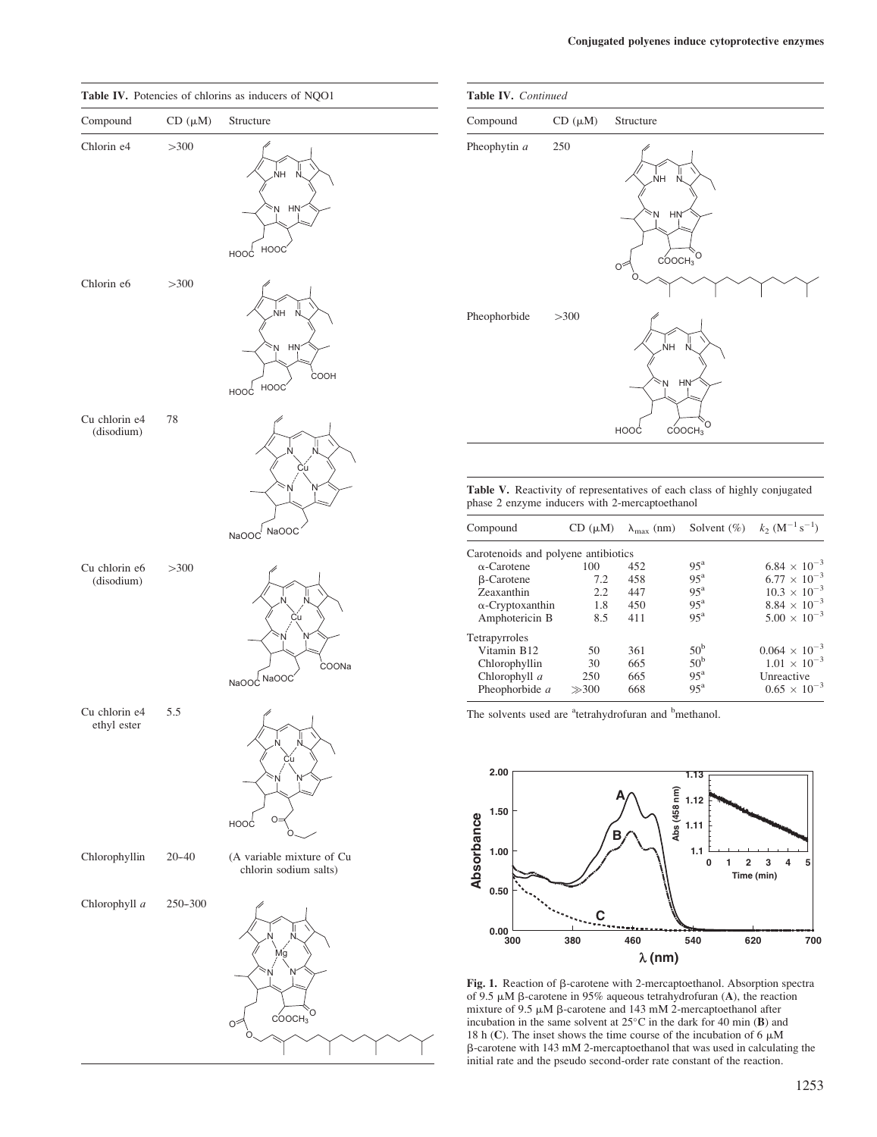

| Table IV. Continued |             |                                                                                |  |
|---------------------|-------------|--------------------------------------------------------------------------------|--|
| Compound            | $CD(\mu M)$ | Structure                                                                      |  |
| Pheophytin a        | 250         | ŃΗ<br>N.<br><b>HN</b><br>۶N<br>O<br>COOCH <sub>3</sub><br>O                    |  |
| Pheophorbide        | >300        | .<br>NH<br>N<br>HN<br>$\sim_{\sf N}$<br>O<br>COOCH <sub>3</sub><br><b>HOOC</b> |  |

Table V. Reactivity of representatives of each class of highly conjugated phase 2 enzyme inducers with 2-mercaptoethanol

| Compound                            | $CD(\mu M)$ | $\lambda_{\text{max}}$ (nm) | Solvent $(\%)$    | $k_2$ (M <sup>-1</sup> s <sup>-1</sup> ) |
|-------------------------------------|-------------|-----------------------------|-------------------|------------------------------------------|
| Carotenoids and polyene antibiotics |             |                             |                   |                                          |
| $\alpha$ -Carotene                  | 100         | 452                         | $95^{\mathrm{a}}$ | $6.84 \times 10^{-3}$                    |
| <b>B-Carotene</b>                   | 7.2         | 458                         | $95^{\mathrm{a}}$ | $6.77 \times 10^{-3}$                    |
| Zeaxanthin                          | 2.2         | 447                         | $95^{\mathrm{a}}$ | $10.3 \times 10^{-3}$                    |
| $\alpha$ -Cryptoxanthin             | 1.8         | 450                         | $95^{\mathrm{a}}$ | $8.84 \times 10^{-3}$                    |
| Amphotericin B                      | 8.5         | 411                         | $95^{\mathrm{a}}$ | $5.00 \times 10^{-3}$                    |
| Tetrapyrroles                       |             |                             |                   |                                          |
| Vitamin B12                         | 50          | 361                         | 50 <sup>b</sup>   | $0.064 \times 10^{-3}$                   |
| Chlorophyllin                       | 30          | 665                         | 50 <sup>b</sup>   | $1.01 \times 10^{-3}$                    |
| Chlorophyll a                       | 250         | 665                         | $95^{\mathrm{a}}$ | Unreactive                               |
| Pheophorbide a                      | $\gg 300$   | 668                         | $95^{\mathrm{a}}$ | $0.65 \times 10^{-3}$                    |

The solvents used are <sup>a</sup>tetrahydrofuran and <sup>b</sup>methanol.



Fig. 1. Reaction of  $\beta$ -carotene with 2-mercaptoethanol. Absorption spectra of 9.5  $\mu$ M  $\beta$ -carotene in 95% aqueous tetrahydrofuran (A), the reaction mixture of 9.5  $\mu$ M  $\beta$ -carotene and 143 mM 2-mercaptoethanol after incubation in the same solvent at  $25^{\circ}$ C in the dark for 40 min (B) and 18 h (C). The inset shows the time course of the incubation of 6  $\mu$ M b-carotene with 143 mM 2-mercaptoethanol that was used in calculating the initial rate and the pseudo second-order rate constant of the reaction.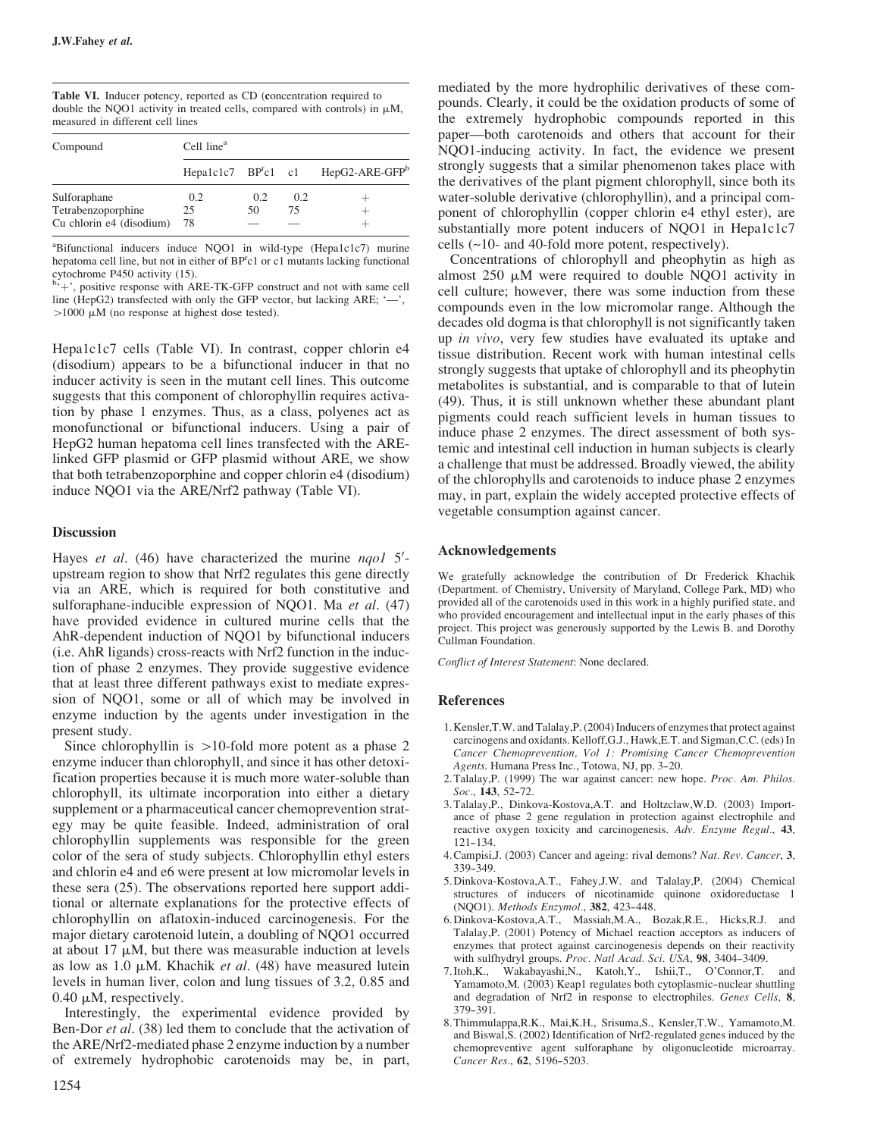Table VI. Inducer potency, reported as CD (concentration required to double the NQO1 activity in treated cells, compared with controls) in  $\mu$ M, measured in different cell lines

| Compound                 | Cell line <sup>a</sup> |     |     |                                                   |  |
|--------------------------|------------------------|-----|-----|---------------------------------------------------|--|
|                          |                        |     |     | Hepa1c1c7 $BP^r c1$ c1 HepG2-ARE-GFP <sup>b</sup> |  |
| Sulforaphane             | 0.2                    | 0.2 | 0.2 |                                                   |  |
| Tetrabenzoporphine       | 25                     | 50  | 75  |                                                   |  |
| Cu chlorin e4 (disodium) | 78                     |     |     |                                                   |  |

<sup>a</sup>Bifunctional inducers induce NQO1 in wild-type (Hepa1c1c7) murine hepatoma cell line, but not in either of BP<sup>r</sup>c1 or c1 mutants lacking functional

cytochrome P450 activity (15).<br><sup>b<sub>i</sup>+</sub>', positive response with ARE-TK-GFP construct and not with same cell</sup> line (HepG2) transfected with only the GFP vector, but lacking ARE;  $\frac{1}{2}$ ,  $>1000 \mu M$  (no response at highest dose tested).

Hepa1c1c7 cells (Table VI). In contrast, copper chlorin e4 (disodium) appears to be a bifunctional inducer in that no inducer activity is seen in the mutant cell lines. This outcome suggests that this component of chlorophyllin requires activation by phase 1 enzymes. Thus, as a class, polyenes act as monofunctional or bifunctional inducers. Using a pair of HepG2 human hepatoma cell lines transfected with the ARElinked GFP plasmid or GFP plasmid without ARE, we show that both tetrabenzoporphine and copper chlorin e4 (disodium) induce NQO1 via the ARE/Nrf2 pathway (Table VI).

#### **Discussion**

Hayes et al.  $(46)$  have characterized the murine  $nqol$  5'upstream region to show that Nrf2 regulates this gene directly via an ARE, which is required for both constitutive and sulforaphane-inducible expression of NQO1. Ma et al. (47) have provided evidence in cultured murine cells that the AhR-dependent induction of NQO1 by bifunctional inducers (i.e. AhR ligands) cross-reacts with Nrf2 function in the induction of phase 2 enzymes. They provide suggestive evidence that at least three different pathways exist to mediate expression of NQO1, some or all of which may be involved in enzyme induction by the agents under investigation in the present study.

Since chlorophyllin is  $>10$ -fold more potent as a phase 2 enzyme inducer than chlorophyll, and since it has other detoxification properties because it is much more water-soluble than chlorophyll, its ultimate incorporation into either a dietary supplement or a pharmaceutical cancer chemoprevention strategy may be quite feasible. Indeed, administration of oral chlorophyllin supplements was responsible for the green color of the sera of study subjects. Chlorophyllin ethyl esters and chlorin e4 and e6 were present at low micromolar levels in these sera (25). The observations reported here support additional or alternate explanations for the protective effects of chlorophyllin on aflatoxin-induced carcinogenesis. For the major dietary carotenoid lutein, a doubling of NQO1 occurred at about  $17 \mu M$ , but there was measurable induction at levels as low as 1.0  $\mu$ M. Khachik *et al.* (48) have measured lutein levels in human liver, colon and lung tissues of 3.2, 0.85 and  $0.40 \mu M$ , respectively.

Interestingly, the experimental evidence provided by Ben-Dor *et al.* (38) led them to conclude that the activation of the ARE/Nrf2-mediated phase 2 enzyme induction by a number of extremely hydrophobic carotenoids may be, in part,

mediated by the more hydrophilic derivatives of these compounds. Clearly, it could be the oxidation products of some of the extremely hydrophobic compounds reported in this paper—both carotenoids and others that account for their NQO1-inducing activity. In fact, the evidence we present strongly suggests that a similar phenomenon takes place with the derivatives of the plant pigment chlorophyll, since both its water-soluble derivative (chlorophyllin), and a principal component of chlorophyllin (copper chlorin e4 ethyl ester), are substantially more potent inducers of NQO1 in Hepa1c1c7 cells  $(\sim]10$ - and 40-fold more potent, respectively).

Concentrations of chlorophyll and pheophytin as high as almost  $250 \mu M$  were required to double NOO1 activity in cell culture; however, there was some induction from these compounds even in the low micromolar range. Although the decades old dogma is that chlorophyll is not significantly taken up in vivo, very few studies have evaluated its uptake and tissue distribution. Recent work with human intestinal cells strongly suggests that uptake of chlorophyll and its pheophytin metabolites is substantial, and is comparable to that of lutein (49). Thus, it is still unknown whether these abundant plant pigments could reach sufficient levels in human tissues to induce phase 2 enzymes. The direct assessment of both systemic and intestinal cell induction in human subjects is clearly a challenge that must be addressed. Broadly viewed, the ability of the chlorophylls and carotenoids to induce phase 2 enzymes may, in part, explain the widely accepted protective effects of vegetable consumption against cancer.

#### Acknowledgements

We gratefully acknowledge the contribution of Dr Frederick Khachik (Department. of Chemistry, University of Maryland, College Park, MD) who provided all of the carotenoids used in this work in a highly purified state, and who provided encouragement and intellectual input in the early phases of this project. This project was generously supported by the Lewis B. and Dorothy Cullman Foundation.

Conflict of Interest Statement: None declared.

#### References

- 1. Kensler,T.W. and Talalay,P. (2004) Inducers of enzymes that protect against carcinogens and oxidants. Kelloff,G.J., Hawk,E.T. and Sigman,C.C. (eds) In Cancer Chemoprevention, Vol 1: Promising Cancer Chemoprevention Agents. Humana Press Inc., Totowa, NJ, pp. 3-20.
- 2. Talalay, P. (1999) The war against cancer: new hope. Proc. Am. Philos. Soc., 143, 52-72.
- 3. Talalay,P., Dinkova-Kostova,A.T. and Holtzclaw,W.D. (2003) Importance of phase 2 gene regulation in protection against electrophile and reactive oxygen toxicity and carcinogenesis. Adv. Enzyme Regul., 43,  $121 - 134$ .
- 4.Campisi,J. (2003) Cancer and ageing: rival demons? Nat. Rev. Cancer, 3,  $339 - 349$
- 5. Dinkova-Kostova,A.T., Fahey,J.W. and Talalay,P. (2004) Chemical structures of inducers of nicotinamide quinone oxidoreductase 1 (NQO1). Methods Enzymol., 382, 423--448.
- 6. Dinkova-Kostova,A.T., Massiah,M.A., Bozak,R.E., Hicks,R.J. and Talalay,P. (2001) Potency of Michael reaction acceptors as inducers of enzymes that protect against carcinogenesis depends on their reactivity with sulfhydryl groups. Proc. Natl Acad. Sci. USA, 98, 3404-3409.
- 7. Itoh,K., Wakabayashi,N., Katoh,Y., Ishii,T., O'Connor,T. and Yamamoto, M. (2003) Keap1 regulates both cytoplasmic-nuclear shuttling and degradation of Nrf2 in response to electrophiles. Genes Cells, 8, 379--391.
- 8. Thimmulappa,R.K., Mai,K.H., Srisuma,S., Kensler,T.W., Yamamoto,M. and Biswal,S. (2002) Identification of Nrf2-regulated genes induced by the chemopreventive agent sulforaphane by oligonucleotide microarray. Cancer Res., 62, 5196-5203.